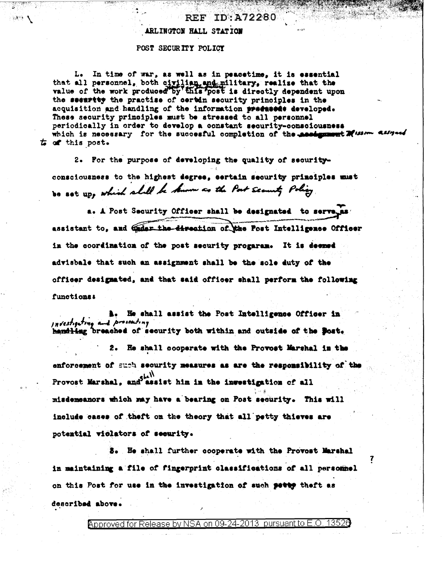### ARLINGTON HALL STATION

#### POST SECURITY POLICY

ार के

L. In time of war, as well as in peacetime, it is essential that all personnel, both civilian and military, realise that the value of the work produced by this post is directly dependent upon the seemrity the practise of certin security principles in the acquisition and handling of the information precused developed. These security principles must be stressed to all personnel periodically in order to develop a constant security-consciousness which is necessary for the succesful completion of the assignment Musica assessed  $t_0$  of this post.

2. For the purpose of developing the quality of securityconsciousness to the highest degree, sertain security principles must Do sot up, which shall be known as the Post security Policy.

a. A Post Security Officer shall be designated to serve as assistant to, and Gader the direction of the Post Intelligence Officer in the coordination of the post security progaram. It is deemed advisbale that such an assignment shall be the sole duty of the officer designated, and that said officer shall perform the following functions:

**A.** He shall assist the Post Intelligence Officer in investigating and prosecuting handling breached of security both within and outside of the Bost.

2. He shall cooperate with the Provost Marshal in the enforcement of such security measures as are the responsibility of the Provost Marshal, and assist him in the investigation of all misdemeanors which may have a bearing on Post security. This will include cases of theft on the theory that all petty thieves are potential violators of security.

3. He shall further cooperate with the Provost Marshal in maintaining a file of fingerprint classifications of all personnel on this Post for use in the investigation of such petty theft as described above.

Approved for Release by NSA on 09-24-2013 pursuant to E.O.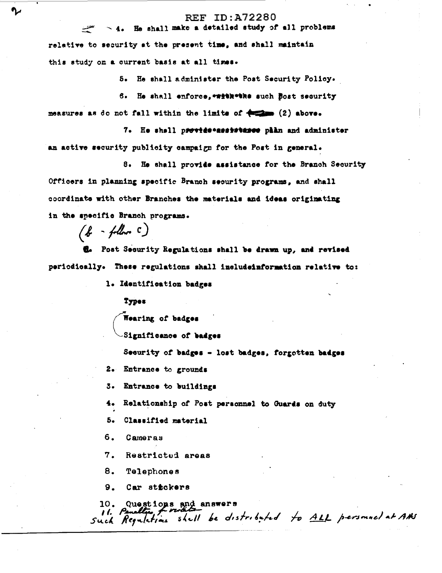$\sim$  4. He shall make a detailed study of all problems

relative to security at the present time, and shall maintain this study on a current basis at all times.

5. He shall administer the Post Security Policy.

6. He shall enforce, \*\*\*\*\*\*\*\*\*\* such Bost security measures as do not fall within the limits of  $\leftarrow$  (2) above.

7. He shall previde assistance phin and administer an active security publicity campaign for the Post in general.

8. He shall provide assistance for the Branch Security Officers in planning specific Branch security programs, and shall coordinate with other Branches the materials and ideas originating in the specific Branch programs.

 $(b - f$ llow  $c)$ 

اعتشد

**A.** Post Security Regulations shall be drawn up, and revised periodically. These regulations shall includeinformation relative to:

1. Identification badges

**Types** 

Wearing of badges

Significance of badges

Security of badges - lost badges, forgotten badges

2. Entrance to grounds

Entrance to buildings 3.

 $4.$ Relationship of Post personnel to Guards on duty

Б. Classified material

6. Cameras

7. Restricted areas

8. **Telephones** 

Car stickers 9.

10. Questions and answers<br>Il. Penellie Fried de distributed to ALL personnel at AHS<br>Such Regulations shall be distributed to ALL personnel at AHS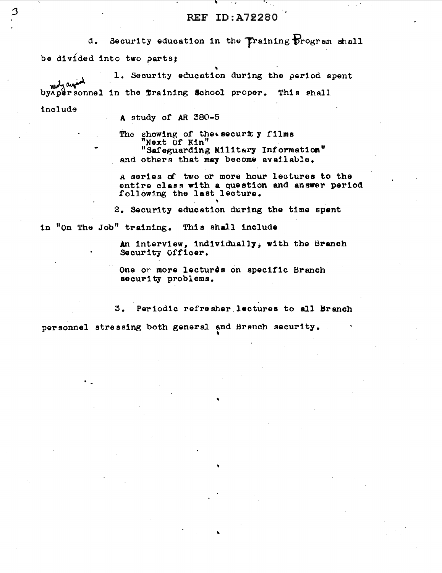Security education in the Training program shall d. be divided into two parts;

1. Security education during the period spent ment and by Apersonnel in the fraining School proper. This shall

include

3

A study of AR 380-5

The showing of the security films Next Of Kin" "Safeguarding Military Information" and others that may become available.

A series of two or more hour lectures to the entire class with a question and answer period following the last lecture.

2. Security education during the time spent

in "on The Job" training. This shall include

An interview, individually, with the Branch Security Officer.

One or more lectures on specific Branch security problems.

Periodic refresher lectures to all Branch 3.

personnel stressing both general and Branch security.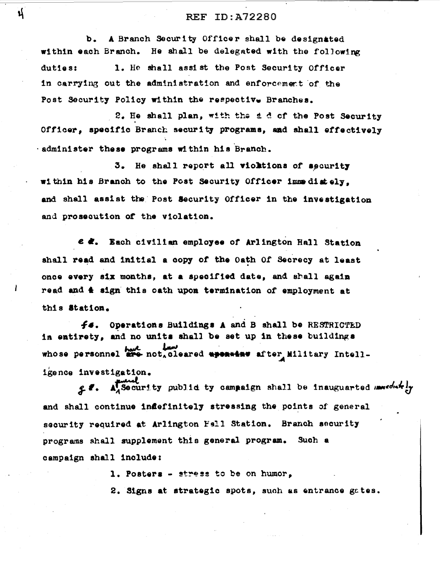A Branch Security Officer shall be designated  $\mathbf b$ . within each Branch. He shall be delegated with the following duties: 1. He shall assist the Post Security Officer in carrying out the administration and enforcement of the Post Security Policy within the respective Branches.

2. He shall plan, with the d d of the Post Security Officer. specific Branch security programs, and shall effectively . administer these programs within his Branch.

3. He shall report all violations of security within his Branch to the Post Security Officer immediately. and shall assist the Post Security Officer in the investigation and prosecution of the violation.

e &. Each civilian employee of Arlington Hall Station shall read and initial a copy of the Oath Of Secrecy at least once every six months, at a specified date, and shall again read and  $\triangle$  sign this oath upon termination of employment at this Station.

Operations Buildings A and B shall be RESTRICTED f6. in entirety, and no units shall be set up in these buildings whose personnel are not, cleared aponeins after Military Intelligence investigation.

28. A Security public ty campaign shall be inauguarted mediately and shall continue indefinitely stressing the points of general security required at Arlington Fall Station. Branch security programs shall supplement this general program. Such a campaign shall include:

1. Posters - stress to be on humor,

2. Signs at strategic spots, such as entrance gates.

้นุ่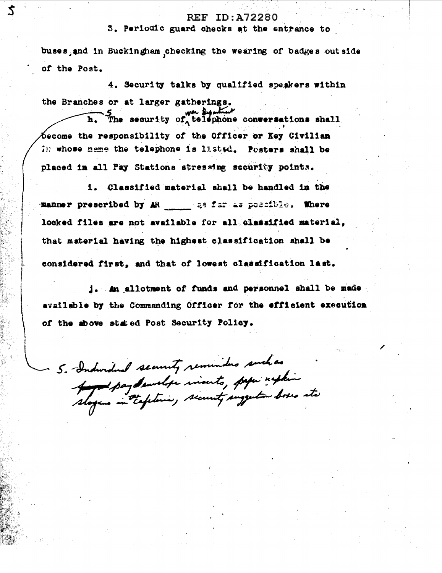3. Periodic guard checks at the entrance to

buses, and in Buckingham checking the wearing of badges outside of the Post.

4. Security talks by qualified speakers within the Branches or at larger gatherings.

 $\mathbf{Z}$ 

h. The security of telephone conversations shall become the responsibility of the Officer or Key Civilian in whose name the telephone is listed. Posters shall be placed in all Pay Stations stressing security points.

1. Classified material shall be handled in the manner prescribed by AR and as far as possible. Where locked files are not available for all classified material, that material having the highest classification shall be considered first, and that of lowest classification last.

j. An allotment of funds and personnel shall be made. available by the Commanding Officer for the efficient execution of the above stated Post Security Policy.

5. Inductional security reminders such as And pay demelier inserts, paper nephine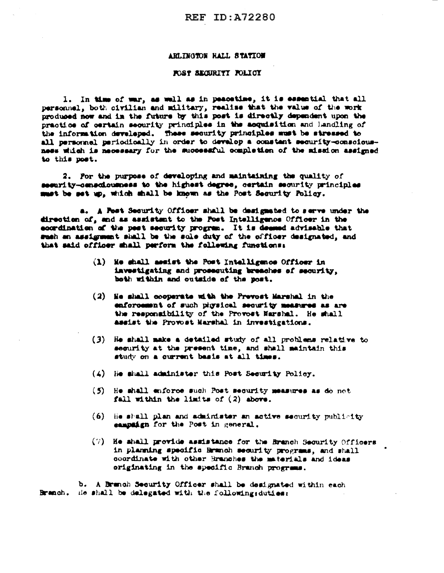#### ARLINGTON HALL STATION

#### FOST SECURITY FOLICY

1. In time of war, as well as in peacetime, it is essential that all personnel, both civilian and military, realise that the value of the work produced now and in the future by this post is directly dependent upon the practice of certain security principles in the acquisition and landling of the information developed. These security principles must be stressed to all personnel periodically in order to develop a constant security-consoiousness which is necessary for the successful completion of the mission assigned to this post.

2. For the purpose of developing and maintaining the quality of security-consciousness to the highest degree, certain security principles must be set up, which shall be known as the Post Security Policy.

a. A Post Security Officer shall be designated to serve under the direction of, and as assistant to the Post Intelligence Officer in the eoordination of the pest security program. It is deemed advisable that such an assignment shall be the sole duty of the officer designated, and that said officer shall perform the following functions:

- (1) He shall assist the Post Intelligence Officer in investigating and prosecuting breaches of security. both within and outside of the post.
- (2) He shall cooperate with the Prevost Marshal in the enforcement of such physical security measures as are the responsibility of the Provost Narshal. He shall assist the Provost Marshal in investigations.
- (3) He shall make a detailed study of all problems relative to security at the present time, and shall maintain this study on a current basis at all times.
- (4) He shall administer this Post Security Policy.
- (5) He shall enforce such Post security measures as do not fall within the limits of  $(2)$  above.
- (6) He shall plan and administer an active security publicity eampaign for the Post in general.
- (7) He shall provide assistance for the Branch Security Officers in planning specific Branch security programs, and shall coordinate with other Branches the materials and ideas originating in the specific Branch programs.

b. A Branch Security Officer shall be designated within each Branch. He shall be delegated with the following: duties: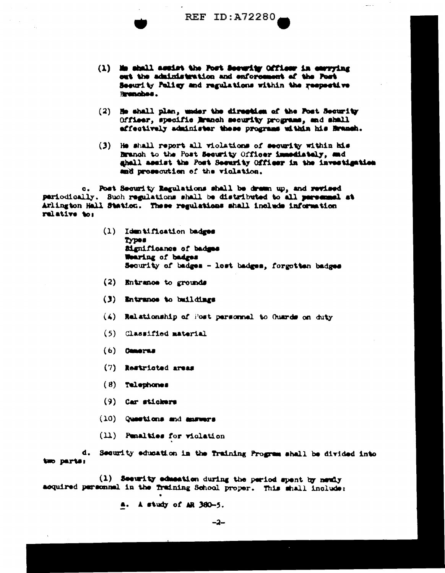$\frac{1}{2}$ 

- (1) Me shall assist the Post Security Officer in carrying out the administration and enforcement of the Post Security Paling and regulations within the respective Brenches.
- (2) He shall plan, under the direction of the Post Security Officer, specific Branch security programs, and shall affectively administer these programs within his Branch.
- (3) He shall report all violations of security within his Branch to the Post Security Officer immediately, and ghall assist the Post Security Officer in the investigation and prosecution of the violation.

c. Post Security Regulations shall be dress up, and revised pariodically. Such regulations shall be distributed to all personal at Arlington Hall Station. These regulations shall include information relative to:

- (1) Identification badges **Types** Mgnificance of badges Wearing of badges Security of badges - lost badges, forgotten badges
- (2) Entrance to grounds
- (3) Entrance to buildings
- (4) Relationship of Post personnel to Guards on duty
- (5) Classified material
- $(6)$  Cemerns
- (7) Restricted areas
- $(8)$  Telephones
- $(9)$  Car stickers
- (10) Questions and answers
- (11) Penalties for violation

d. Security education in the fraining Program shall be divided into two parts:

(1) Security education during the period spent by newly acquired personnel in the fraining School proper. This shall include:

a. A study of AR 380-5.